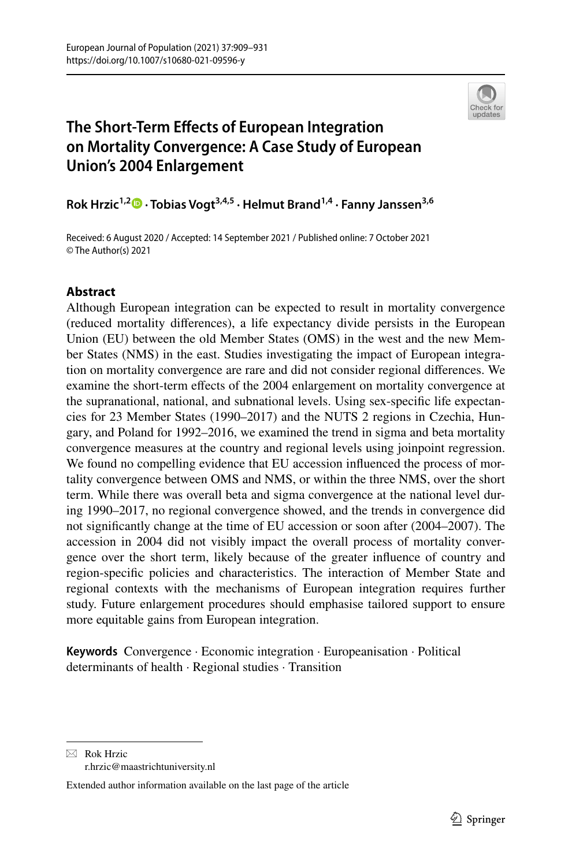

# **The Short‑Term Efects of European Integration on Mortality Convergence: A Case Study of European Union's 2004 Enlargement**

**Rok Hrzic1,2 · Tobias Vogt3,4,5 · Helmut Brand1,4 · Fanny Janssen3,6**

Received: 6 August 2020 / Accepted: 14 September 2021 / Published online: 7 October 2021 © The Author(s) 2021

# **Abstract**

Although European integration can be expected to result in mortality convergence (reduced mortality diferences), a life expectancy divide persists in the European Union (EU) between the old Member States (OMS) in the west and the new Member States (NMS) in the east. Studies investigating the impact of European integration on mortality convergence are rare and did not consider regional diferences. We examine the short-term efects of the 2004 enlargement on mortality convergence at the supranational, national, and subnational levels. Using sex-specifc life expectancies for 23 Member States (1990–2017) and the NUTS 2 regions in Czechia, Hungary, and Poland for 1992–2016, we examined the trend in sigma and beta mortality convergence measures at the country and regional levels using joinpoint regression. We found no compelling evidence that EU accession infuenced the process of mortality convergence between OMS and NMS, or within the three NMS, over the short term. While there was overall beta and sigma convergence at the national level during 1990–2017, no regional convergence showed, and the trends in convergence did not signifcantly change at the time of EU accession or soon after (2004–2007). The accession in 2004 did not visibly impact the overall process of mortality convergence over the short term, likely because of the greater infuence of country and region-specifc policies and characteristics. The interaction of Member State and regional contexts with the mechanisms of European integration requires further study. Future enlargement procedures should emphasise tailored support to ensure more equitable gains from European integration.

**Keywords** Convergence · Economic integration · Europeanisation · Political determinants of health · Regional studies · Transition

 $\boxtimes$  Rok Hrzic

r.hrzic@maastrichtuniversity.nl

Extended author information available on the last page of the article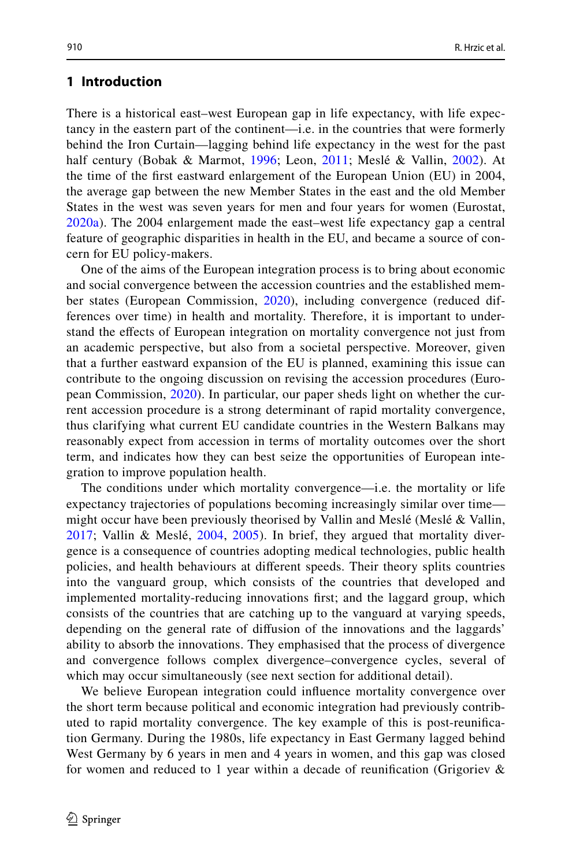## **1 Introduction**

There is a historical east–west European gap in life expectancy, with life expectancy in the eastern part of the continent—i.e. in the countries that were formerly behind the Iron Curtain—lagging behind life expectancy in the west for the past half century (Bobak & Marmot, [1996;](#page-19-0) Leon, [2011](#page-20-0); Meslé & Vallin, [2002](#page-21-0)). At the time of the frst eastward enlargement of the European Union (EU) in 2004, the average gap between the new Member States in the east and the old Member States in the west was seven years for men and four years for women (Eurostat, [2020a](#page-19-1)). The 2004 enlargement made the east–west life expectancy gap a central feature of geographic disparities in health in the EU, and became a source of concern for EU policy-makers.

One of the aims of the European integration process is to bring about economic and social convergence between the accession countries and the established member states (European Commission, [2020](#page-19-2)), including convergence (reduced differences over time) in health and mortality. Therefore, it is important to understand the efects of European integration on mortality convergence not just from an academic perspective, but also from a societal perspective. Moreover, given that a further eastward expansion of the EU is planned, examining this issue can contribute to the ongoing discussion on revising the accession procedures (European Commission, [2020](#page-19-2)). In particular, our paper sheds light on whether the current accession procedure is a strong determinant of rapid mortality convergence, thus clarifying what current EU candidate countries in the Western Balkans may reasonably expect from accession in terms of mortality outcomes over the short term, and indicates how they can best seize the opportunities of European integration to improve population health.

The conditions under which mortality convergence—i.e. the mortality or life expectancy trajectories of populations becoming increasingly similar over time might occur have been previously theorised by Vallin and Meslé (Meslé & Vallin, [2017;](#page-21-1) Vallin & Meslé, [2004](#page-22-0), [2005](#page-22-1)). In brief, they argued that mortality divergence is a consequence of countries adopting medical technologies, public health policies, and health behaviours at diferent speeds. Their theory splits countries into the vanguard group, which consists of the countries that developed and implemented mortality-reducing innovations frst; and the laggard group, which consists of the countries that are catching up to the vanguard at varying speeds, depending on the general rate of difusion of the innovations and the laggards' ability to absorb the innovations. They emphasised that the process of divergence and convergence follows complex divergence–convergence cycles, several of which may occur simultaneously (see next section for additional detail).

We believe European integration could infuence mortality convergence over the short term because political and economic integration had previously contributed to rapid mortality convergence. The key example of this is post-reunifcation Germany. During the 1980s, life expectancy in East Germany lagged behind West Germany by 6 years in men and 4 years in women, and this gap was closed for women and reduced to 1 year within a decade of reunifcation (Grigoriev &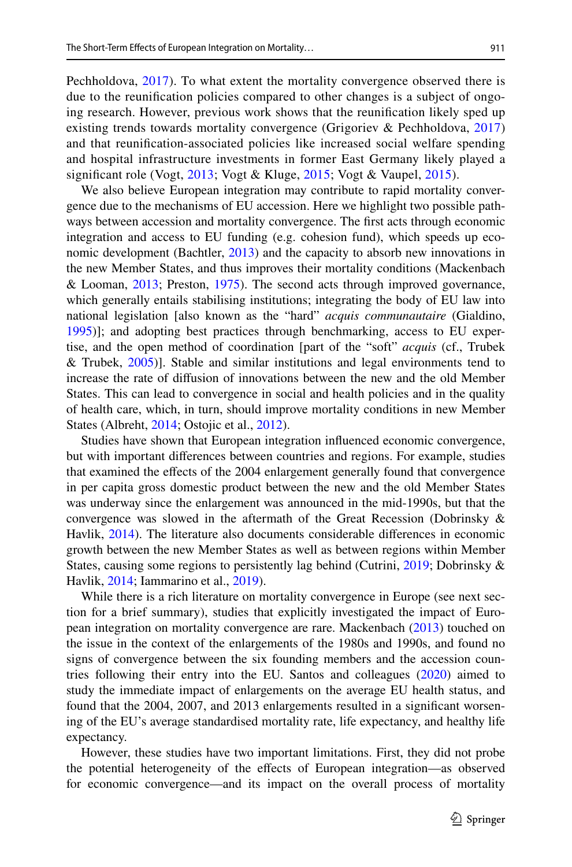Pechholdova, [2017\)](#page-20-1). To what extent the mortality convergence observed there is due to the reunifcation policies compared to other changes is a subject of ongoing research. However, previous work shows that the reunifcation likely sped up existing trends towards mortality convergence (Grigoriev & Pechholdova, [2017](#page-20-1)) and that reunifcation-associated policies like increased social welfare spending and hospital infrastructure investments in former East Germany likely played a significant role (Vogt, [2013;](#page-22-2) Vogt & Kluge, [2015;](#page-22-3) Vogt & Vaupel, [2015](#page-22-4)).

We also believe European integration may contribute to rapid mortality convergence due to the mechanisms of EU accession. Here we highlight two possible pathways between accession and mortality convergence. The frst acts through economic integration and access to EU funding (e.g. cohesion fund), which speeds up economic development (Bachtler, [2013\)](#page-19-3) and the capacity to absorb new innovations in the new Member States, and thus improves their mortality conditions (Mackenbach & Looman, [2013;](#page-20-2) Preston, [1975](#page-21-2)). The second acts through improved governance, which generally entails stabilising institutions; integrating the body of EU law into national legislation [also known as the "hard" *acquis communautaire* (Gialdino, [1995](#page-20-3))]; and adopting best practices through benchmarking, access to EU expertise, and the open method of coordination [part of the "soft" *acquis* (cf., Trubek & Trubek, [2005](#page-21-3))]. Stable and similar institutions and legal environments tend to increase the rate of difusion of innovations between the new and the old Member States. This can lead to convergence in social and health policies and in the quality of health care, which, in turn, should improve mortality conditions in new Member States (Albreht, [2014](#page-18-0); Ostojic et al., [2012](#page-21-4)).

Studies have shown that European integration infuenced economic convergence, but with important diferences between countries and regions. For example, studies that examined the efects of the 2004 enlargement generally found that convergence in per capita gross domestic product between the new and the old Member States was underway since the enlargement was announced in the mid-1990s, but that the convergence was slowed in the aftermath of the Great Recession (Dobrinsky & Havlik, [2014\)](#page-19-4). The literature also documents considerable diferences in economic growth between the new Member States as well as between regions within Member States, causing some regions to persistently lag behind (Cutrini, [2019;](#page-19-5) Dobrinsky & Havlik, [2014;](#page-19-4) Iammarino et al., [2019\)](#page-20-4).

While there is a rich literature on mortality convergence in Europe (see next section for a brief summary), studies that explicitly investigated the impact of European integration on mortality convergence are rare. Mackenbach ([2013\)](#page-20-5) touched on the issue in the context of the enlargements of the 1980s and 1990s, and found no signs of convergence between the six founding members and the accession countries following their entry into the EU. Santos and colleagues [\(2020](#page-21-5)) aimed to study the immediate impact of enlargements on the average EU health status, and found that the 2004, 2007, and 2013 enlargements resulted in a signifcant worsening of the EU's average standardised mortality rate, life expectancy, and healthy life expectancy.

However, these studies have two important limitations. First, they did not probe the potential heterogeneity of the efects of European integration—as observed for economic convergence—and its impact on the overall process of mortality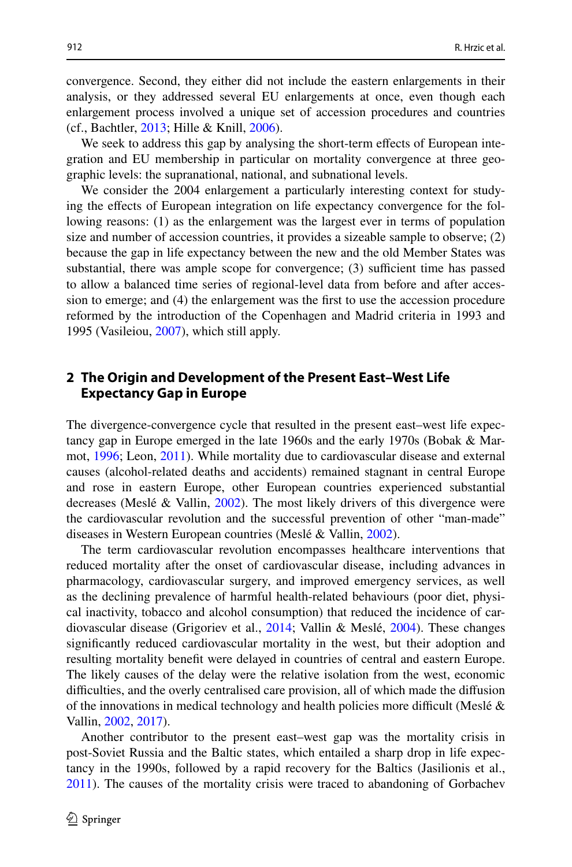convergence. Second, they either did not include the eastern enlargements in their analysis, or they addressed several EU enlargements at once, even though each enlargement process involved a unique set of accession procedures and countries (cf., Bachtler, [2013](#page-19-3); Hille & Knill, [2006\)](#page-20-6).

We seek to address this gap by analysing the short-term effects of European integration and EU membership in particular on mortality convergence at three geographic levels: the supranational, national, and subnational levels.

We consider the 2004 enlargement a particularly interesting context for studying the efects of European integration on life expectancy convergence for the following reasons: (1) as the enlargement was the largest ever in terms of population size and number of accession countries, it provides a sizeable sample to observe; (2) because the gap in life expectancy between the new and the old Member States was substantial, there was ample scope for convergence;  $(3)$  sufficient time has passed to allow a balanced time series of regional-level data from before and after accession to emerge; and (4) the enlargement was the frst to use the accession procedure reformed by the introduction of the Copenhagen and Madrid criteria in 1993 and 1995 (Vasileiou, [2007](#page-22-5)), which still apply.

# **2 The Origin and Development of the Present East–West Life Expectancy Gap in Europe**

The divergence-convergence cycle that resulted in the present east–west life expectancy gap in Europe emerged in the late 1960s and the early 1970s (Bobak & Marmot, [1996;](#page-19-0) Leon, [2011](#page-20-0)). While mortality due to cardiovascular disease and external causes (alcohol-related deaths and accidents) remained stagnant in central Europe and rose in eastern Europe, other European countries experienced substantial decreases (Meslé & Vallin, [2002](#page-21-0)). The most likely drivers of this divergence were the cardiovascular revolution and the successful prevention of other "man-made" diseases in Western European countries (Meslé & Vallin, [2002\)](#page-21-0).

The term cardiovascular revolution encompasses healthcare interventions that reduced mortality after the onset of cardiovascular disease, including advances in pharmacology, cardiovascular surgery, and improved emergency services, as well as the declining prevalence of harmful health-related behaviours (poor diet, physical inactivity, tobacco and alcohol consumption) that reduced the incidence of cardiovascular disease (Grigoriev et al., [2014](#page-20-7); Vallin & Meslé, [2004\)](#page-22-0). These changes signifcantly reduced cardiovascular mortality in the west, but their adoption and resulting mortality beneft were delayed in countries of central and eastern Europe. The likely causes of the delay were the relative isolation from the west, economic difculties, and the overly centralised care provision, all of which made the difusion of the innovations in medical technology and health policies more difficult (Meslé  $\&$ Vallin, [2002](#page-21-0), [2017](#page-21-1)).

Another contributor to the present east–west gap was the mortality crisis in post-Soviet Russia and the Baltic states, which entailed a sharp drop in life expectancy in the 1990s, followed by a rapid recovery for the Baltics (Jasilionis et al., [2011](#page-20-8)). The causes of the mortality crisis were traced to abandoning of Gorbachev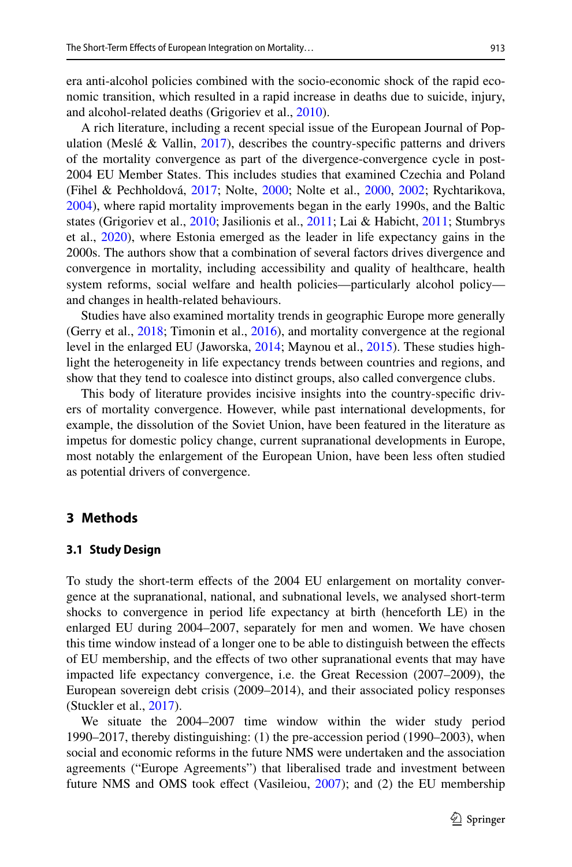era anti-alcohol policies combined with the socio-economic shock of the rapid economic transition, which resulted in a rapid increase in deaths due to suicide, injury, and alcohol-related deaths (Grigoriev et al., [2010\)](#page-20-9).

A rich literature, including a recent special issue of the European Journal of Population (Meslé & Vallin,  $2017$ ), describes the country-specific patterns and drivers of the mortality convergence as part of the divergence-convergence cycle in post-2004 EU Member States. This includes studies that examined Czechia and Poland (Fihel & Pechholdová, [2017;](#page-19-6) Nolte, [2000;](#page-21-6) Nolte et al., [2000](#page-21-7), [2002;](#page-21-8) Rychtarikova, [2004](#page-21-9)), where rapid mortality improvements began in the early 1990s, and the Baltic states (Grigoriev et al., [2010;](#page-20-9) Jasilionis et al., [2011;](#page-20-8) Lai & Habicht, [2011;](#page-20-10) Stumbrys et al., [2020\)](#page-21-10), where Estonia emerged as the leader in life expectancy gains in the 2000s. The authors show that a combination of several factors drives divergence and convergence in mortality, including accessibility and quality of healthcare, health system reforms, social welfare and health policies—particularly alcohol policy and changes in health-related behaviours.

Studies have also examined mortality trends in geographic Europe more generally (Gerry et al., [2018;](#page-20-11) Timonin et al., [2016\)](#page-21-11), and mortality convergence at the regional level in the enlarged EU (Jaworska, [2014;](#page-20-12) Maynou et al., [2015\)](#page-20-13). These studies highlight the heterogeneity in life expectancy trends between countries and regions, and show that they tend to coalesce into distinct groups, also called convergence clubs.

This body of literature provides incisive insights into the country-specifc drivers of mortality convergence. However, while past international developments, for example, the dissolution of the Soviet Union, have been featured in the literature as impetus for domestic policy change, current supranational developments in Europe, most notably the enlargement of the European Union, have been less often studied as potential drivers of convergence.

# **3 Methods**

#### **3.1 Study Design**

To study the short-term efects of the 2004 EU enlargement on mortality convergence at the supranational, national, and subnational levels, we analysed short-term shocks to convergence in period life expectancy at birth (henceforth LE) in the enlarged EU during 2004–2007, separately for men and women. We have chosen this time window instead of a longer one to be able to distinguish between the efects of EU membership, and the efects of two other supranational events that may have impacted life expectancy convergence, i.e. the Great Recession (2007–2009), the European sovereign debt crisis (2009–2014), and their associated policy responses (Stuckler et al., [2017](#page-21-12)).

We situate the 2004–2007 time window within the wider study period 1990–2017, thereby distinguishing: (1) the pre-accession period (1990–2003), when social and economic reforms in the future NMS were undertaken and the association agreements ("Europe Agreements") that liberalised trade and investment between future NMS and OMS took efect (Vasileiou, [2007](#page-22-5)); and (2) the EU membership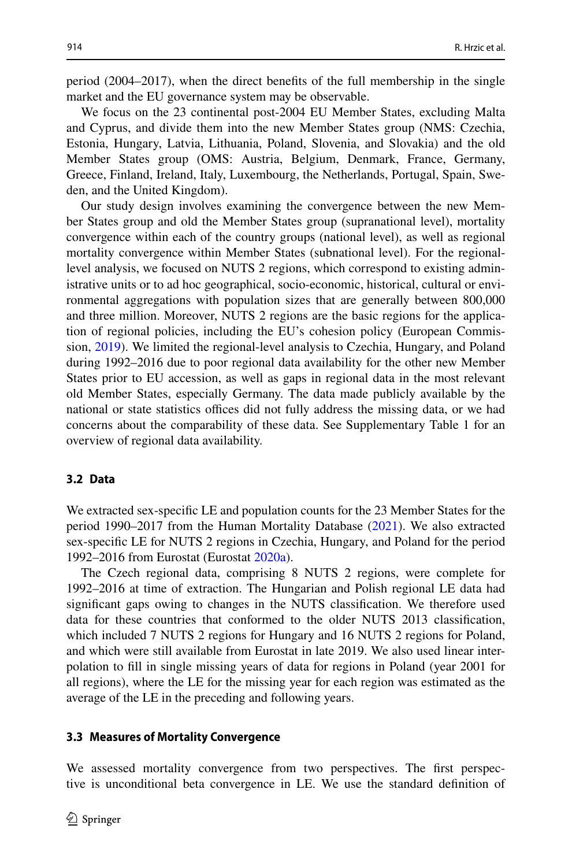period (2004–2017), when the direct benefts of the full membership in the single market and the EU governance system may be observable.

We focus on the 23 continental post-2004 EU Member States, excluding Malta and Cyprus, and divide them into the new Member States group (NMS: Czechia, Estonia, Hungary, Latvia, Lithuania, Poland, Slovenia, and Slovakia) and the old Member States group (OMS: Austria, Belgium, Denmark, France, Germany, Greece, Finland, Ireland, Italy, Luxembourg, the Netherlands, Portugal, Spain, Sweden, and the United Kingdom).

Our study design involves examining the convergence between the new Member States group and old the Member States group (supranational level), mortality convergence within each of the country groups (national level), as well as regional mortality convergence within Member States (subnational level). For the regionallevel analysis, we focused on NUTS 2 regions, which correspond to existing administrative units or to ad hoc geographical, socio-economic, historical, cultural or environmental aggregations with population sizes that are generally between 800,000 and three million. Moreover, NUTS 2 regions are the basic regions for the application of regional policies, including the EU's cohesion policy (European Commission, [2019\)](#page-19-7). We limited the regional-level analysis to Czechia, Hungary, and Poland during 1992–2016 due to poor regional data availability for the other new Member States prior to EU accession, as well as gaps in regional data in the most relevant old Member States, especially Germany. The data made publicly available by the national or state statistics offices did not fully address the missing data, or we had concerns about the comparability of these data. See Supplementary Table 1 for an overview of regional data availability.

#### **3.2 Data**

We extracted sex-specifc LE and population counts for the 23 Member States for the period 1990–2017 from the Human Mortality Database ([2021\)](#page-20-14). We also extracted sex-specifc LE for NUTS 2 regions in Czechia, Hungary, and Poland for the period 1992–2016 from Eurostat (Eurostat [2020a\)](#page-19-1).

The Czech regional data, comprising 8 NUTS 2 regions, were complete for 1992–2016 at time of extraction. The Hungarian and Polish regional LE data had signifcant gaps owing to changes in the NUTS classifcation. We therefore used data for these countries that conformed to the older NUTS 2013 classifcation, which included 7 NUTS 2 regions for Hungary and 16 NUTS 2 regions for Poland, and which were still available from Eurostat in late 2019. We also used linear interpolation to fll in single missing years of data for regions in Poland (year 2001 for all regions), where the LE for the missing year for each region was estimated as the average of the LE in the preceding and following years.

#### **3.3 Measures of Mortality Convergence**

We assessed mortality convergence from two perspectives. The first perspective is unconditional beta convergence in LE. We use the standard defnition of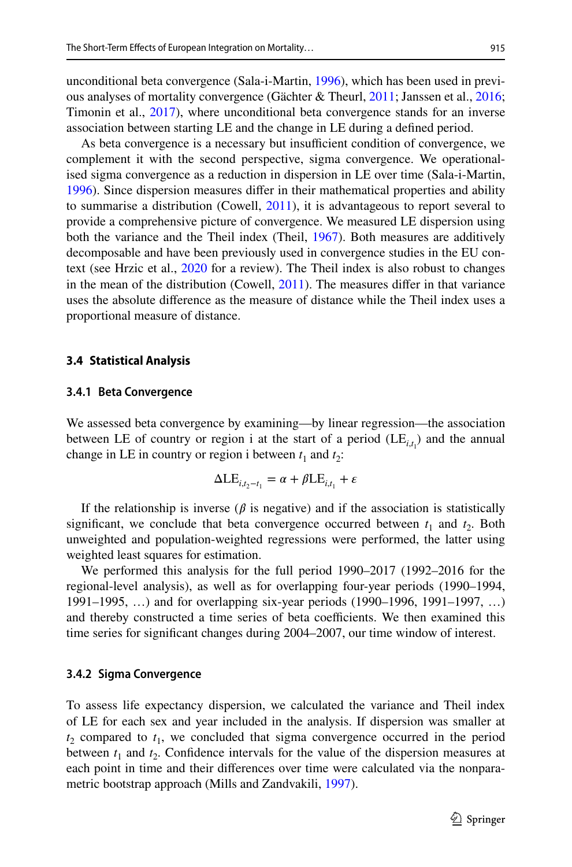unconditional beta convergence (Sala-i-Martin, [1996\)](#page-21-13), which has been used in previous analyses of mortality convergence (Gächter & Theurl, [2011;](#page-19-8) Janssen et al., [2016;](#page-20-15) Timonin et al., [2017](#page-21-14)), where unconditional beta convergence stands for an inverse association between starting LE and the change in LE during a defned period.

As beta convergence is a necessary but insufficient condition of convergence, we complement it with the second perspective, sigma convergence. We operationalised sigma convergence as a reduction in dispersion in LE over time (Sala-i-Martin, [1996](#page-21-13)). Since dispersion measures difer in their mathematical properties and ability to summarise a distribution (Cowell, [2011\)](#page-19-9), it is advantageous to report several to provide a comprehensive picture of convergence. We measured LE dispersion using both the variance and the Theil index (Theil, [1967](#page-21-15)). Both measures are additively decomposable and have been previously used in convergence studies in the EU context (see Hrzic et al., [2020](#page-20-16) for a review). The Theil index is also robust to changes in the mean of the distribution (Cowell, [2011](#page-19-9)). The measures difer in that variance uses the absolute diference as the measure of distance while the Theil index uses a proportional measure of distance.

#### **3.4 Statistical Analysis**

#### **3.4.1 Beta Convergence**

We assessed beta convergence by examining—by linear regression—the association between LE of country or region i at the start of a period  $(LE_{i,t}^{\dagger})$  and the annual change in LE in country or region i between  $t_1$  and  $t_2$ :

$$
\Delta LE_{i,t_2-t_1} = \alpha + \beta LE_{i,t_1} + \varepsilon
$$

If the relationship is inverse ( $\beta$  is negative) and if the association is statistically significant, we conclude that beta convergence occurred between  $t_1$  and  $t_2$ . Both unweighted and population-weighted regressions were performed, the latter using weighted least squares for estimation.

We performed this analysis for the full period 1990–2017 (1992–2016 for the regional-level analysis), as well as for overlapping four-year periods (1990–1994, 1991–1995, …) and for overlapping six-year periods (1990–1996, 1991–1997, …) and thereby constructed a time series of beta coefficients. We then examined this time series for signifcant changes during 2004–2007, our time window of interest.

#### **3.4.2 Sigma Convergence**

To assess life expectancy dispersion, we calculated the variance and Theil index of LE for each sex and year included in the analysis. If dispersion was smaller at  $t_2$  compared to  $t_1$ , we concluded that sigma convergence occurred in the period between  $t_1$  and  $t_2$ . Confidence intervals for the value of the dispersion measures at each point in time and their diferences over time were calculated via the nonparametric bootstrap approach (Mills and Zandvakili, [1997\)](#page-21-16).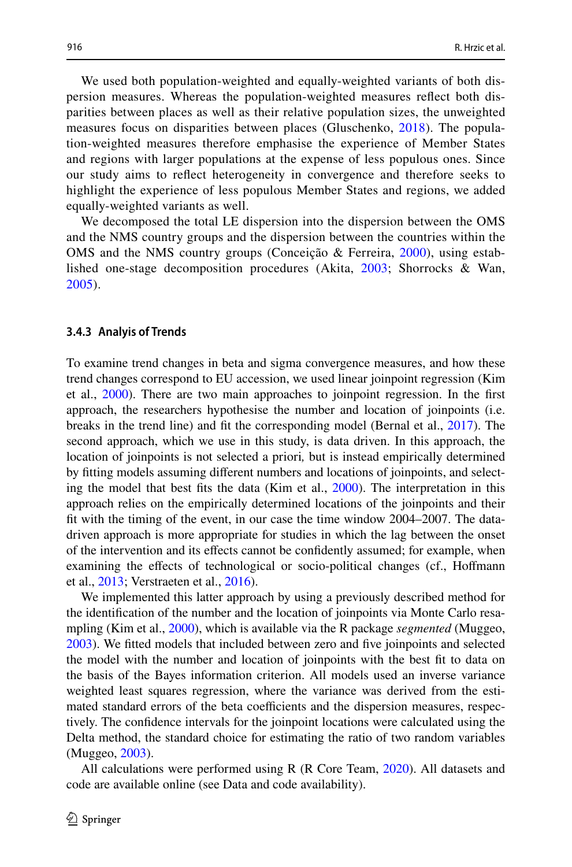We used both population-weighted and equally-weighted variants of both dispersion measures. Whereas the population-weighted measures refect both disparities between places as well as their relative population sizes, the unweighted measures focus on disparities between places (Gluschenko, [2018](#page-20-17)). The population-weighted measures therefore emphasise the experience of Member States and regions with larger populations at the expense of less populous ones. Since our study aims to refect heterogeneity in convergence and therefore seeks to highlight the experience of less populous Member States and regions, we added equally-weighted variants as well.

We decomposed the total LE dispersion into the dispersion between the OMS and the NMS country groups and the dispersion between the countries within the OMS and the NMS country groups (Conceição & Ferreira, [2000\)](#page-19-10), using established one-stage decomposition procedures (Akita, [2003](#page-18-1); Shorrocks & Wan, [2005\)](#page-21-17).

#### **3.4.3 Analyis of Trends**

To examine trend changes in beta and sigma convergence measures, and how these trend changes correspond to EU accession, we used linear joinpoint regression (Kim et al., [2000\)](#page-20-18). There are two main approaches to joinpoint regression. In the frst approach, the researchers hypothesise the number and location of joinpoints (i.e. breaks in the trend line) and ft the corresponding model (Bernal et al., [2017\)](#page-19-11). The second approach, which we use in this study, is data driven. In this approach, the location of joinpoints is not selected a priori*,* but is instead empirically determined by ftting models assuming diferent numbers and locations of joinpoints, and selecting the model that best fts the data (Kim et al., [2000](#page-20-18)). The interpretation in this approach relies on the empirically determined locations of the joinpoints and their ft with the timing of the event, in our case the time window 2004–2007. The datadriven approach is more appropriate for studies in which the lag between the onset of the intervention and its efects cannot be confdently assumed; for example, when examining the efects of technological or socio-political changes (cf., Hofmann et al., [2013](#page-20-19); Verstraeten et al., [2016\)](#page-22-6).

We implemented this latter approach by using a previously described method for the identifcation of the number and the location of joinpoints via Monte Carlo resampling (Kim et al., [2000](#page-20-18)), which is available via the R package *segmented* (Muggeo, [2003](#page-21-18)). We ftted models that included between zero and fve joinpoints and selected the model with the number and location of joinpoints with the best ft to data on the basis of the Bayes information criterion. All models used an inverse variance weighted least squares regression, where the variance was derived from the estimated standard errors of the beta coefficients and the dispersion measures, respectively. The confdence intervals for the joinpoint locations were calculated using the Delta method, the standard choice for estimating the ratio of two random variables (Muggeo, [2003\)](#page-21-18).

All calculations were performed using R (R Core Team, [2020](#page-21-19)). All datasets and code are available online (see Data and code availability).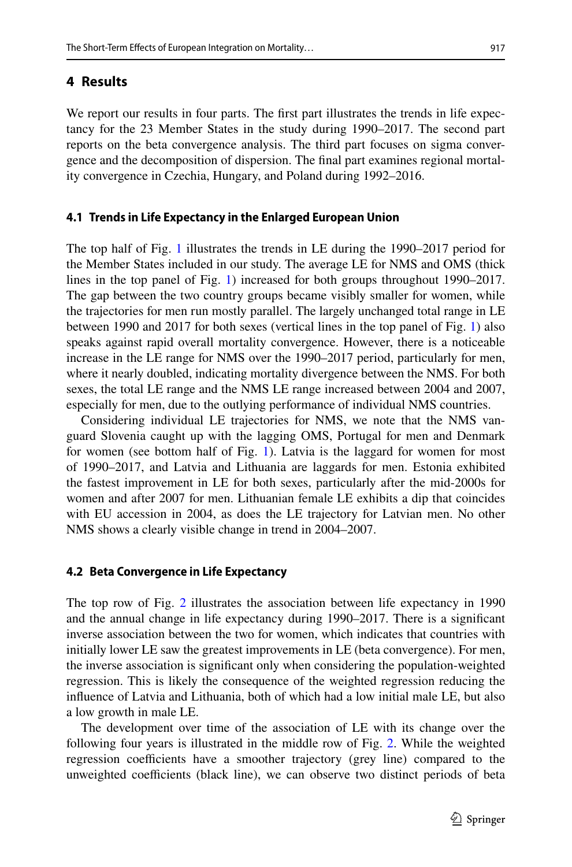## **4 Results**

We report our results in four parts. The first part illustrates the trends in life expectancy for the 23 Member States in the study during 1990–2017. The second part reports on the beta convergence analysis. The third part focuses on sigma convergence and the decomposition of dispersion. The fnal part examines regional mortality convergence in Czechia, Hungary, and Poland during 1992–2016.

### **4.1 Trends in Life Expectancy in the Enlarged European Union**

The top half of Fig. [1](#page-9-0) illustrates the trends in LE during the 1990–2017 period for the Member States included in our study. The average LE for NMS and OMS (thick lines in the top panel of Fig. [1](#page-9-0)) increased for both groups throughout 1990–2017. The gap between the two country groups became visibly smaller for women, while the trajectories for men run mostly parallel. The largely unchanged total range in LE between 1990 and 2017 for both sexes (vertical lines in the top panel of Fig. [1](#page-9-0)) also speaks against rapid overall mortality convergence. However, there is a noticeable increase in the LE range for NMS over the 1990–2017 period, particularly for men, where it nearly doubled, indicating mortality divergence between the NMS. For both sexes, the total LE range and the NMS LE range increased between 2004 and 2007, especially for men, due to the outlying performance of individual NMS countries.

Considering individual LE trajectories for NMS, we note that the NMS vanguard Slovenia caught up with the lagging OMS, Portugal for men and Denmark for women (see bottom half of Fig. [1\)](#page-9-0). Latvia is the laggard for women for most of 1990–2017, and Latvia and Lithuania are laggards for men. Estonia exhibited the fastest improvement in LE for both sexes, particularly after the mid-2000s for women and after 2007 for men. Lithuanian female LE exhibits a dip that coincides with EU accession in 2004, as does the LE trajectory for Latvian men. No other NMS shows a clearly visible change in trend in 2004–2007.

#### **4.2 Beta Convergence in Life Expectancy**

The top row of Fig. [2](#page-10-0) illustrates the association between life expectancy in 1990 and the annual change in life expectancy during 1990–2017. There is a signifcant inverse association between the two for women, which indicates that countries with initially lower LE saw the greatest improvements in LE (beta convergence). For men, the inverse association is signifcant only when considering the population-weighted regression. This is likely the consequence of the weighted regression reducing the infuence of Latvia and Lithuania, both of which had a low initial male LE, but also a low growth in male LE.

The development over time of the association of LE with its change over the following four years is illustrated in the middle row of Fig. [2.](#page-10-0) While the weighted regression coefficients have a smoother trajectory (grey line) compared to the unweighted coefficients (black line), we can observe two distinct periods of beta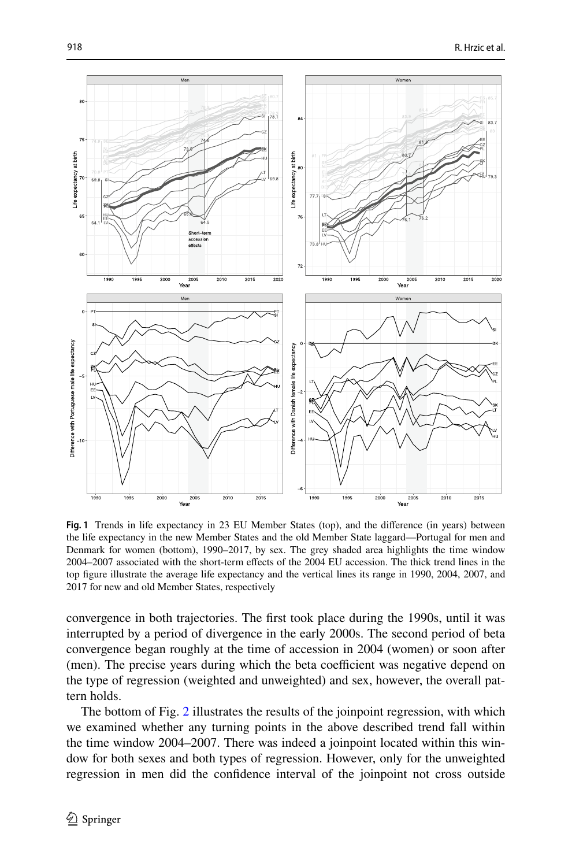

<span id="page-9-0"></span>**Fig. 1** Trends in life expectancy in 23 EU Member States (top), and the diference (in years) between the life expectancy in the new Member States and the old Member State laggard—Portugal for men and Denmark for women (bottom), 1990–2017, by sex. The grey shaded area highlights the time window 2004–2007 associated with the short-term efects of the 2004 EU accession. The thick trend lines in the top fgure illustrate the average life expectancy and the vertical lines its range in 1990, 2004, 2007, and 2017 for new and old Member States, respectively

convergence in both trajectories. The frst took place during the 1990s, until it was interrupted by a period of divergence in the early 2000s. The second period of beta convergence began roughly at the time of accession in 2004 (women) or soon after (men). The precise years during which the beta coefficient was negative depend on the type of regression (weighted and unweighted) and sex, however, the overall pattern holds.

The bottom of Fig. [2](#page-10-0) illustrates the results of the joinpoint regression, with which we examined whether any turning points in the above described trend fall within the time window 2004–2007. There was indeed a joinpoint located within this window for both sexes and both types of regression. However, only for the unweighted regression in men did the confdence interval of the joinpoint not cross outside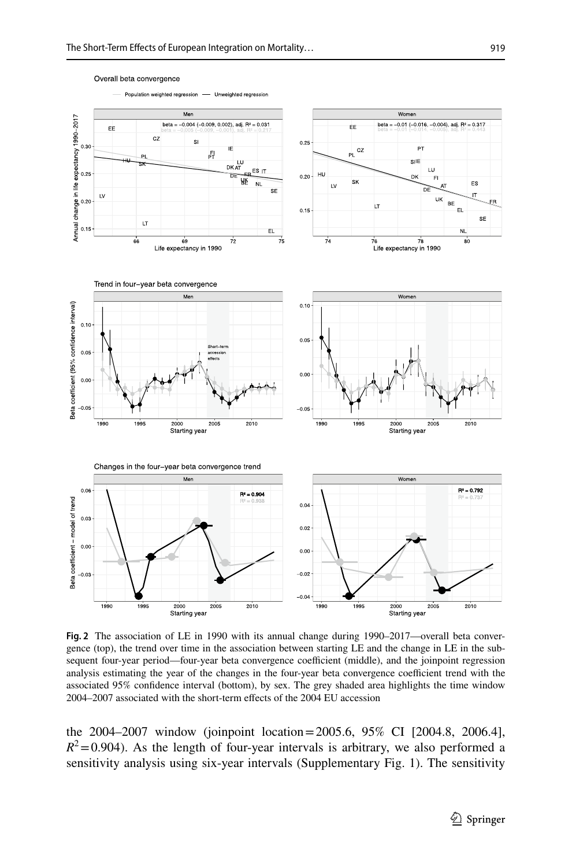

Overall beta convergence

<span id="page-10-0"></span>**Fig. 2** The association of LE in 1990 with its annual change during 1990–2017—overall beta convergence (top), the trend over time in the association between starting LE and the change in LE in the subsequent four-year period—four-year beta convergence coefficient (middle), and the joinpoint regression analysis estimating the year of the changes in the four-year beta convergence coefficient trend with the associated 95% confdence interval (bottom), by sex. The grey shaded area highlights the time window 2004–2007 associated with the short-term efects of the 2004 EU accession

the 2004–2007 window (joinpoint location=2005.6, 95% CI [2004.8, 2006.4],  $R^2$ =0.904). As the length of four-year intervals is arbitrary, we also performed a sensitivity analysis using six-year intervals (Supplementary Fig. 1). The sensitivity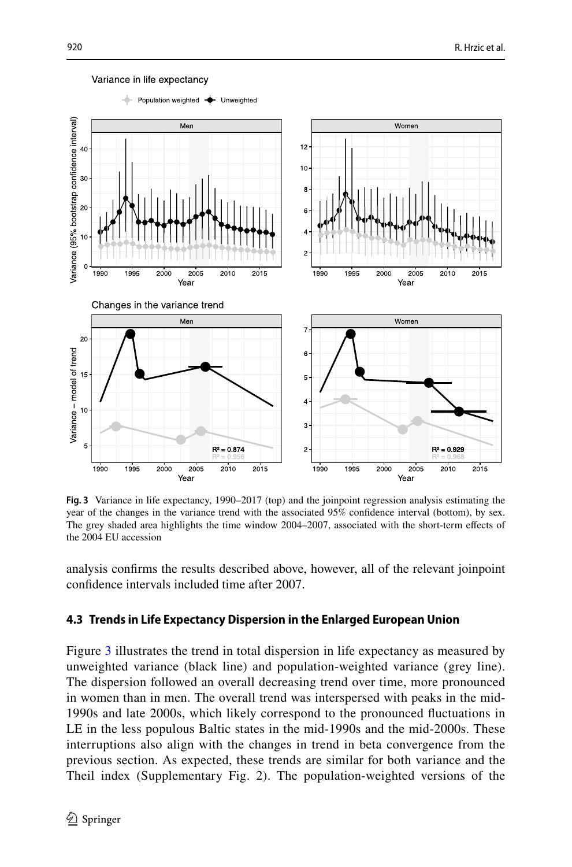

#### Variance in life expectancy

<span id="page-11-0"></span>**Fig. 3** Variance in life expectancy, 1990–2017 (top) and the joinpoint regression analysis estimating the year of the changes in the variance trend with the associated 95% confdence interval (bottom), by sex. The grey shaded area highlights the time window 2004–2007, associated with the short-term efects of the 2004 EU accession

analysis confrms the results described above, however, all of the relevant joinpoint confdence intervals included time after 2007.

### **4.3 Trends in Life Expectancy Dispersion in the Enlarged European Union**

Figure [3](#page-11-0) illustrates the trend in total dispersion in life expectancy as measured by unweighted variance (black line) and population-weighted variance (grey line). The dispersion followed an overall decreasing trend over time, more pronounced in women than in men. The overall trend was interspersed with peaks in the mid-1990s and late 2000s, which likely correspond to the pronounced fuctuations in LE in the less populous Baltic states in the mid-1990s and the mid-2000s. These interruptions also align with the changes in trend in beta convergence from the previous section. As expected, these trends are similar for both variance and the Theil index (Supplementary Fig. 2). The population-weighted versions of the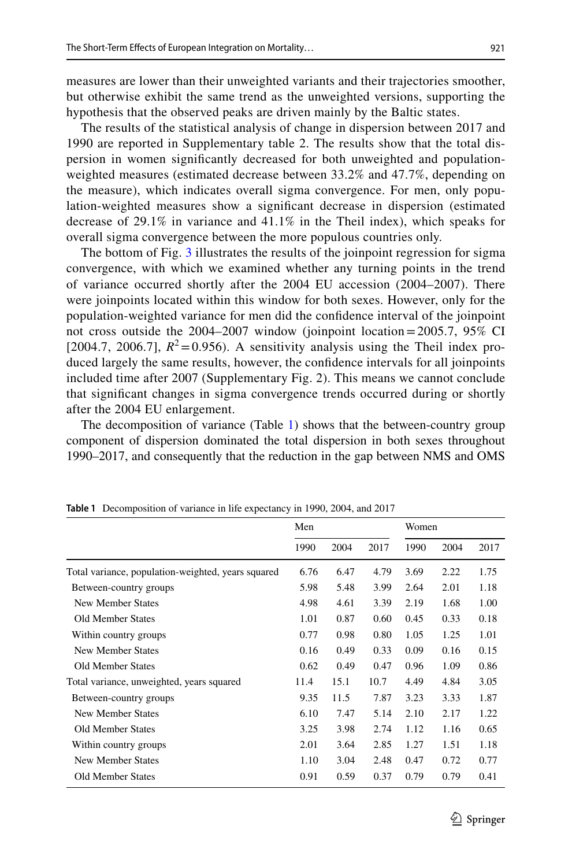measures are lower than their unweighted variants and their trajectories smoother, but otherwise exhibit the same trend as the unweighted versions, supporting the hypothesis that the observed peaks are driven mainly by the Baltic states.

The results of the statistical analysis of change in dispersion between 2017 and 1990 are reported in Supplementary table 2. The results show that the total dispersion in women signifcantly decreased for both unweighted and populationweighted measures (estimated decrease between 33.2% and 47.7%, depending on the measure), which indicates overall sigma convergence. For men, only population-weighted measures show a signifcant decrease in dispersion (estimated decrease of 29.1% in variance and 41.1% in the Theil index), which speaks for overall sigma convergence between the more populous countries only.

The bottom of Fig. [3](#page-11-0) illustrates the results of the joinpoint regression for sigma convergence, with which we examined whether any turning points in the trend of variance occurred shortly after the 2004 EU accession (2004–2007). There were joinpoints located within this window for both sexes. However, only for the population-weighted variance for men did the confdence interval of the joinpoint not cross outside the 2004–2007 window (joinpoint location=2005.7, 95% CI [2004.7, 2006.7],  $R^2 = 0.956$ ). A sensitivity analysis using the Theil index produced largely the same results, however, the confdence intervals for all joinpoints included time after 2007 (Supplementary Fig. 2). This means we cannot conclude that signifcant changes in sigma convergence trends occurred during or shortly after the 2004 EU enlargement.

The decomposition of variance (Table [1](#page-12-0)) shows that the between-country group component of dispersion dominated the total dispersion in both sexes throughout 1990–2017, and consequently that the reduction in the gap between NMS and OMS

|                                                    | Men  |      |      | Women |      |      |
|----------------------------------------------------|------|------|------|-------|------|------|
|                                                    | 1990 | 2004 | 2017 | 1990  | 2004 | 2017 |
| Total variance, population-weighted, years squared | 6.76 | 6.47 | 4.79 | 3.69  | 2.22 | 1.75 |
| Between-country groups                             | 5.98 | 5.48 | 3.99 | 2.64  | 2.01 | 1.18 |
| New Member States                                  | 4.98 | 4.61 | 3.39 | 2.19  | 1.68 | 1.00 |
| <b>Old Member States</b>                           | 1.01 | 0.87 | 0.60 | 0.45  | 0.33 | 0.18 |
| Within country groups                              | 0.77 | 0.98 | 0.80 | 1.05  | 1.25 | 1.01 |
| New Member States                                  | 0.16 | 0.49 | 0.33 | 0.09  | 0.16 | 0.15 |
| <b>Old Member States</b>                           | 0.62 | 0.49 | 0.47 | 0.96  | 1.09 | 0.86 |
| Total variance, unweighted, years squared          | 11.4 | 15.1 | 10.7 | 4.49  | 4.84 | 3.05 |
| Between-country groups                             | 9.35 | 11.5 | 7.87 | 3.23  | 3.33 | 1.87 |
| New Member States                                  | 6.10 | 7.47 | 5.14 | 2.10  | 2.17 | 1.22 |
| <b>Old Member States</b>                           | 3.25 | 3.98 | 2.74 | 1.12  | 1.16 | 0.65 |
| Within country groups                              | 2.01 | 3.64 | 2.85 | 1.27  | 1.51 | 1.18 |
| New Member States                                  | 1.10 | 3.04 | 2.48 | 0.47  | 0.72 | 0.77 |
| <b>Old Member States</b>                           | 0.91 | 0.59 | 0.37 | 0.79  | 0.79 | 0.41 |

<span id="page-12-0"></span>**Table 1** Decomposition of variance in life expectancy in 1990, 2004, and 2017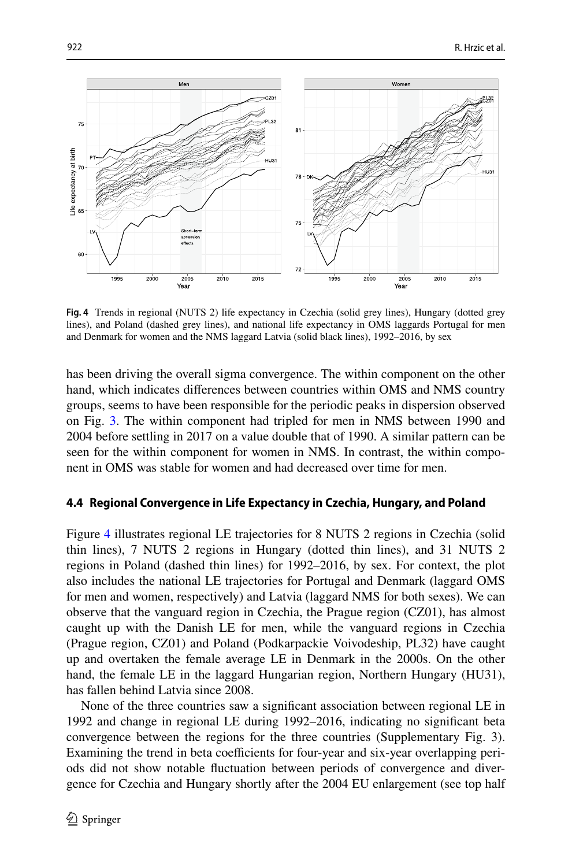

<span id="page-13-0"></span>**Fig. 4** Trends in regional (NUTS 2) life expectancy in Czechia (solid grey lines), Hungary (dotted grey lines), and Poland (dashed grey lines), and national life expectancy in OMS laggards Portugal for men and Denmark for women and the NMS laggard Latvia (solid black lines), 1992–2016, by sex

has been driving the overall sigma convergence. The within component on the other hand, which indicates diferences between countries within OMS and NMS country groups, seems to have been responsible for the periodic peaks in dispersion observed on Fig. [3](#page-11-0). The within component had tripled for men in NMS between 1990 and 2004 before settling in 2017 on a value double that of 1990. A similar pattern can be seen for the within component for women in NMS. In contrast, the within component in OMS was stable for women and had decreased over time for men.

#### **4.4 Regional Convergence in Life Expectancy in Czechia, Hungary, and Poland**

Figure [4](#page-13-0) illustrates regional LE trajectories for 8 NUTS 2 regions in Czechia (solid thin lines), 7 NUTS 2 regions in Hungary (dotted thin lines), and 31 NUTS 2 regions in Poland (dashed thin lines) for 1992–2016, by sex. For context, the plot also includes the national LE trajectories for Portugal and Denmark (laggard OMS for men and women, respectively) and Latvia (laggard NMS for both sexes). We can observe that the vanguard region in Czechia, the Prague region (CZ01), has almost caught up with the Danish LE for men, while the vanguard regions in Czechia (Prague region, CZ01) and Poland (Podkarpackie Voivodeship, PL32) have caught up and overtaken the female average LE in Denmark in the 2000s. On the other hand, the female LE in the laggard Hungarian region, Northern Hungary (HU31), has fallen behind Latvia since 2008.

None of the three countries saw a signifcant association between regional LE in 1992 and change in regional LE during 1992–2016, indicating no signifcant beta convergence between the regions for the three countries (Supplementary Fig. 3). Examining the trend in beta coefficients for four-year and six-year overlapping periods did not show notable fuctuation between periods of convergence and divergence for Czechia and Hungary shortly after the 2004 EU enlargement (see top half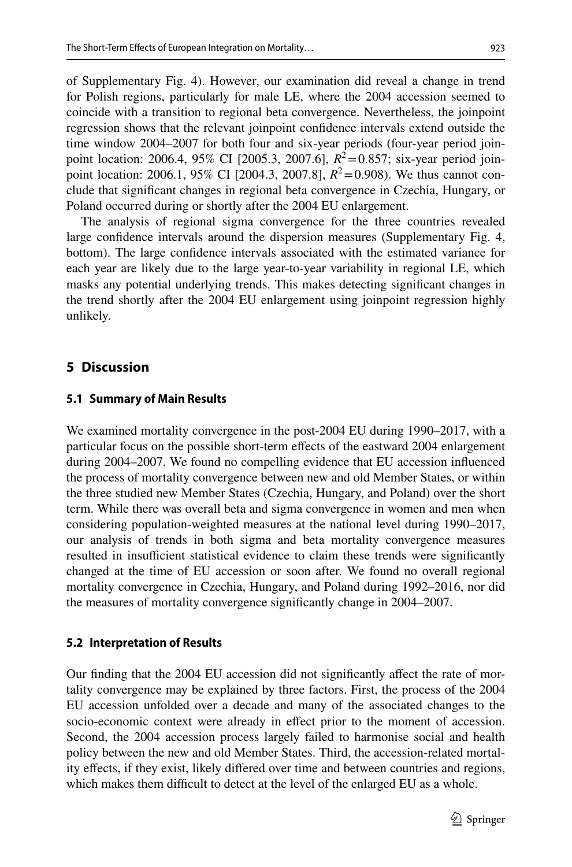of Supplementary Fig. 4). However, our examination did reveal a change in trend for Polish regions, particularly for male LE, where the 2004 accession seemed to coincide with a transition to regional beta convergence. Nevertheless, the joinpoint regression shows that the relevant joinpoint confdence intervals extend outside the time window 2004–2007 for both four and six-year periods (four-year period joinpoint location: 2006.4, 95% CI [2005.3, 2007.6],  $R^2 = 0.857$ ; six-year period joinpoint location: 2006.1, 95% CI [2004.3, 2007.8],  $R^2 = 0.908$ ). We thus cannot conclude that signifcant changes in regional beta convergence in Czechia, Hungary, or Poland occurred during or shortly after the 2004 EU enlargement.

The analysis of regional sigma convergence for the three countries revealed large confdence intervals around the dispersion measures (Supplementary Fig. 4, bottom). The large confdence intervals associated with the estimated variance for each year are likely due to the large year-to-year variability in regional LE, which masks any potential underlying trends. This makes detecting signifcant changes in the trend shortly after the 2004 EU enlargement using joinpoint regression highly unlikely.

### **5 Discussion**

#### **5.1 Summary of Main Results**

We examined mortality convergence in the post-2004 EU during 1990–2017, with a particular focus on the possible short-term effects of the eastward 2004 enlargement during 2004–2007. We found no compelling evidence that EU accession infuenced the process of mortality convergence between new and old Member States, or within the three studied new Member States (Czechia, Hungary, and Poland) over the short term. While there was overall beta and sigma convergence in women and men when considering population-weighted measures at the national level during 1990–2017, our analysis of trends in both sigma and beta mortality convergence measures resulted in insufficient statistical evidence to claim these trends were significantly changed at the time of EU accession or soon after. We found no overall regional mortality convergence in Czechia, Hungary, and Poland during 1992–2016, nor did the measures of mortality convergence signifcantly change in 2004–2007.

#### **5.2 Interpretation of Results**

Our fnding that the 2004 EU accession did not signifcantly afect the rate of mortality convergence may be explained by three factors. First, the process of the 2004 EU accession unfolded over a decade and many of the associated changes to the socio-economic context were already in efect prior to the moment of accession. Second, the 2004 accession process largely failed to harmonise social and health policy between the new and old Member States. Third, the accession-related mortality efects, if they exist, likely difered over time and between countries and regions, which makes them difficult to detect at the level of the enlarged EU as a whole.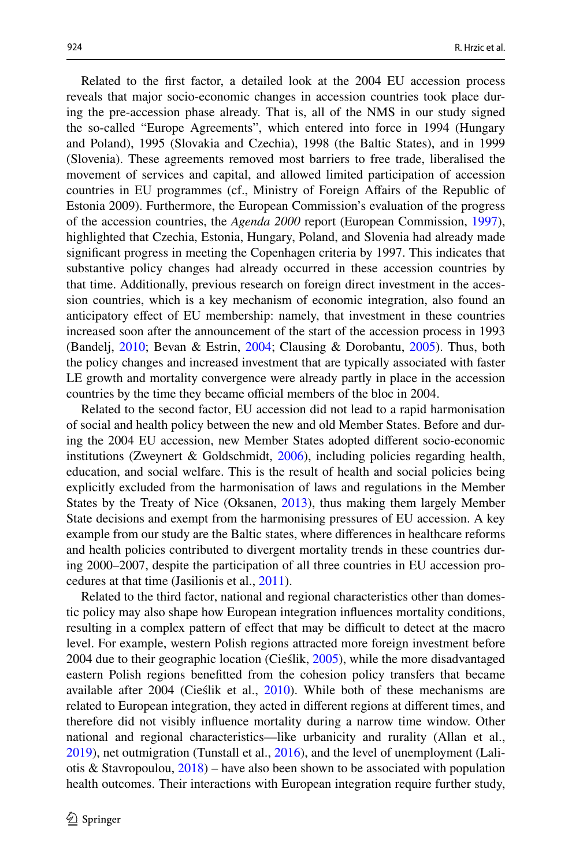Related to the frst factor, a detailed look at the 2004 EU accession process reveals that major socio-economic changes in accession countries took place during the pre-accession phase already. That is, all of the NMS in our study signed the so-called "Europe Agreements", which entered into force in 1994 (Hungary and Poland), 1995 (Slovakia and Czechia), 1998 (the Baltic States), and in 1999 (Slovenia). These agreements removed most barriers to free trade, liberalised the movement of services and capital, and allowed limited participation of accession countries in EU programmes (cf., Ministry of Foreign Afairs of the Republic of Estonia 2009). Furthermore, the European Commission's evaluation of the progress of the accession countries, the *Agenda 2000* report (European Commission, [1997\)](#page-19-12), highlighted that Czechia, Estonia, Hungary, Poland, and Slovenia had already made signifcant progress in meeting the Copenhagen criteria by 1997. This indicates that substantive policy changes had already occurred in these accession countries by that time. Additionally, previous research on foreign direct investment in the accession countries, which is a key mechanism of economic integration, also found an anticipatory efect of EU membership: namely, that investment in these countries increased soon after the announcement of the start of the accession process in 1993 (Bandelj, [2010;](#page-19-13) Bevan & Estrin, [2004;](#page-19-14) Clausing & Dorobantu, [2005\)](#page-19-15). Thus, both the policy changes and increased investment that are typically associated with faster LE growth and mortality convergence were already partly in place in the accession countries by the time they became official members of the bloc in 2004.

Related to the second factor, EU accession did not lead to a rapid harmonisation of social and health policy between the new and old Member States. Before and during the 2004 EU accession, new Member States adopted diferent socio-economic institutions (Zweynert & Goldschmidt,  $2006$ ), including policies regarding health, education, and social welfare. This is the result of health and social policies being explicitly excluded from the harmonisation of laws and regulations in the Member States by the Treaty of Nice (Oksanen, [2013](#page-21-20)), thus making them largely Member State decisions and exempt from the harmonising pressures of EU accession. A key example from our study are the Baltic states, where diferences in healthcare reforms and health policies contributed to divergent mortality trends in these countries during 2000–2007, despite the participation of all three countries in EU accession procedures at that time (Jasilionis et al., [2011\)](#page-20-8).

Related to the third factor, national and regional characteristics other than domestic policy may also shape how European integration infuences mortality conditions, resulting in a complex pattern of effect that may be difficult to detect at the macro level. For example, western Polish regions attracted more foreign investment before 2004 due to their geographic location (Cieślik, [2005](#page-19-16)), while the more disadvantaged eastern Polish regions beneftted from the cohesion policy transfers that became available after 2004 (Cieślik et al., [2010\)](#page-19-17). While both of these mechanisms are related to European integration, they acted in diferent regions at diferent times, and therefore did not visibly infuence mortality during a narrow time window. Other national and regional characteristics—like urbanicity and rurality (Allan et al., [2019](#page-18-2)), net outmigration (Tunstall et al., [2016\)](#page-22-8), and the level of unemployment (Laliotis & Stavropoulou,  $2018$ ) – have also been shown to be associated with population health outcomes. Their interactions with European integration require further study,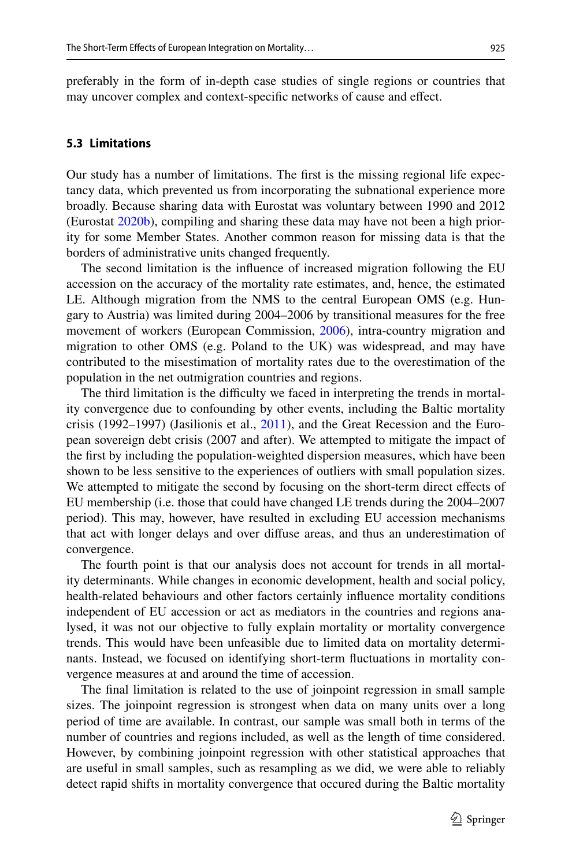preferably in the form of in-depth case studies of single regions or countries that may uncover complex and context-specifc networks of cause and efect.

#### **5.3 Limitations**

Our study has a number of limitations. The frst is the missing regional life expectancy data, which prevented us from incorporating the subnational experience more broadly. Because sharing data with Eurostat was voluntary between 1990 and 2012 (Eurostat [2020b](#page-19-18)), compiling and sharing these data may have not been a high priority for some Member States. Another common reason for missing data is that the borders of administrative units changed frequently.

The second limitation is the infuence of increased migration following the EU accession on the accuracy of the mortality rate estimates, and, hence, the estimated LE. Although migration from the NMS to the central European OMS (e.g. Hungary to Austria) was limited during 2004–2006 by transitional measures for the free movement of workers (European Commission, [2006\)](#page-19-19), intra-country migration and migration to other OMS (e.g. Poland to the UK) was widespread, and may have contributed to the misestimation of mortality rates due to the overestimation of the population in the net outmigration countries and regions.

The third limitation is the difficulty we faced in interpreting the trends in mortality convergence due to confounding by other events, including the Baltic mortality crisis (1992–1997) (Jasilionis et al., [2011](#page-20-8)), and the Great Recession and the European sovereign debt crisis (2007 and after). We attempted to mitigate the impact of the frst by including the population-weighted dispersion measures, which have been shown to be less sensitive to the experiences of outliers with small population sizes. We attempted to mitigate the second by focusing on the short-term direct efects of EU membership (i.e. those that could have changed LE trends during the 2004–2007 period). This may, however, have resulted in excluding EU accession mechanisms that act with longer delays and over difuse areas, and thus an underestimation of convergence.

The fourth point is that our analysis does not account for trends in all mortality determinants. While changes in economic development, health and social policy, health-related behaviours and other factors certainly infuence mortality conditions independent of EU accession or act as mediators in the countries and regions analysed, it was not our objective to fully explain mortality or mortality convergence trends. This would have been unfeasible due to limited data on mortality determinants. Instead, we focused on identifying short-term fuctuations in mortality convergence measures at and around the time of accession.

The fnal limitation is related to the use of joinpoint regression in small sample sizes. The joinpoint regression is strongest when data on many units over a long period of time are available. In contrast, our sample was small both in terms of the number of countries and regions included, as well as the length of time considered. However, by combining joinpoint regression with other statistical approaches that are useful in small samples, such as resampling as we did, we were able to reliably detect rapid shifts in mortality convergence that occured during the Baltic mortality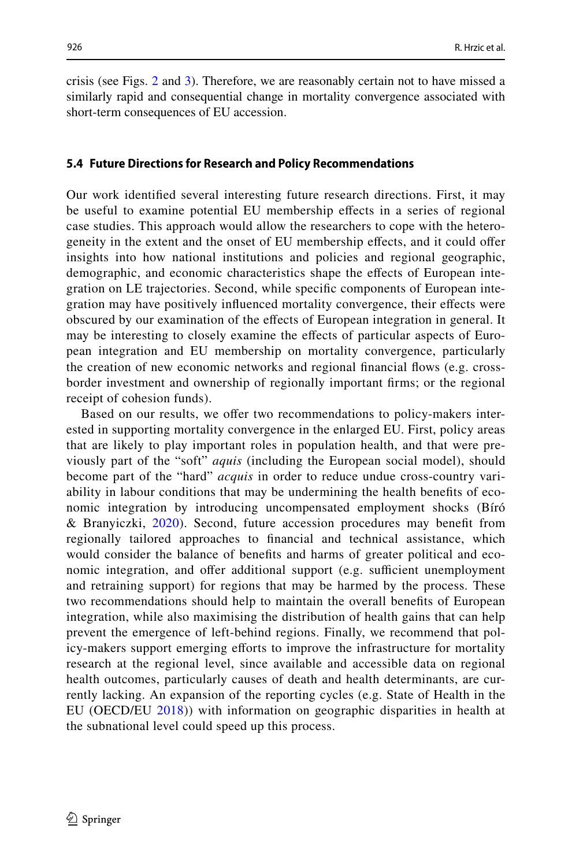crisis (see Figs. [2](#page-10-0) and [3\)](#page-11-0). Therefore, we are reasonably certain not to have missed a similarly rapid and consequential change in mortality convergence associated with short-term consequences of EU accession.

#### **5.4 Future Directions for Research and Policy Recommendations**

Our work identifed several interesting future research directions. First, it may be useful to examine potential EU membership efects in a series of regional case studies. This approach would allow the researchers to cope with the heterogeneity in the extent and the onset of EU membership efects, and it could ofer insights into how national institutions and policies and regional geographic, demographic, and economic characteristics shape the efects of European integration on LE trajectories. Second, while specifc components of European integration may have positively infuenced mortality convergence, their efects were obscured by our examination of the efects of European integration in general. It may be interesting to closely examine the efects of particular aspects of European integration and EU membership on mortality convergence, particularly the creation of new economic networks and regional fnancial fows (e.g. crossborder investment and ownership of regionally important frms; or the regional receipt of cohesion funds).

Based on our results, we offer two recommendations to policy-makers interested in supporting mortality convergence in the enlarged EU. First, policy areas that are likely to play important roles in population health, and that were previously part of the "soft" *aquis* (including the European social model), should become part of the "hard" *acquis* in order to reduce undue cross-country variability in labour conditions that may be undermining the health benefts of economic integration by introducing uncompensated employment shocks (Bíró & Branyiczki, [2020\)](#page-19-20). Second, future accession procedures may beneft from regionally tailored approaches to fnancial and technical assistance, which would consider the balance of benefts and harms of greater political and economic integration, and offer additional support (e.g. sufficient unemployment and retraining support) for regions that may be harmed by the process. These two recommendations should help to maintain the overall benefts of European integration, while also maximising the distribution of health gains that can help prevent the emergence of left-behind regions. Finally, we recommend that policy-makers support emerging eforts to improve the infrastructure for mortality research at the regional level, since available and accessible data on regional health outcomes, particularly causes of death and health determinants, are currently lacking. An expansion of the reporting cycles (e.g. State of Health in the EU (OECD/EU [2018](#page-21-21))) with information on geographic disparities in health at the subnational level could speed up this process.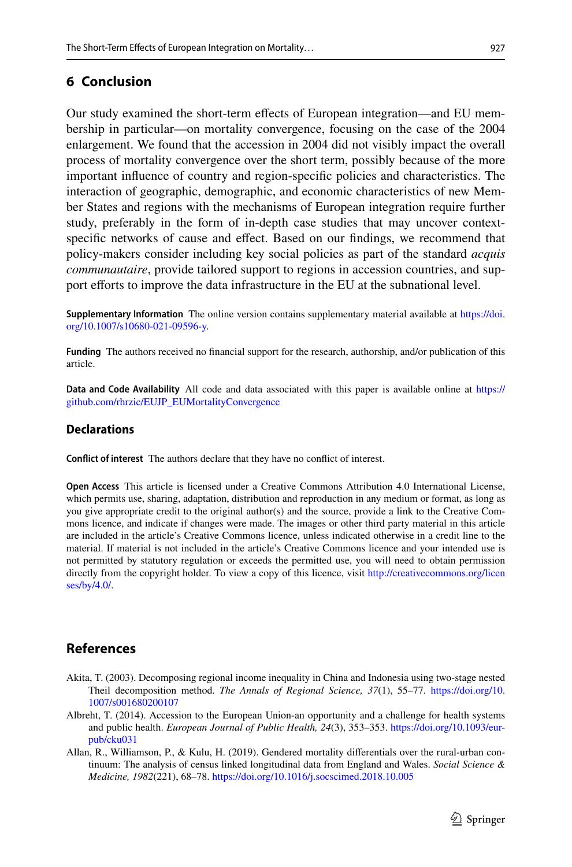# **6 Conclusion**

Our study examined the short-term efects of European integration—and EU membership in particular—on mortality convergence, focusing on the case of the 2004 enlargement. We found that the accession in 2004 did not visibly impact the overall process of mortality convergence over the short term, possibly because of the more important infuence of country and region-specifc policies and characteristics. The interaction of geographic, demographic, and economic characteristics of new Member States and regions with the mechanisms of European integration require further study, preferably in the form of in-depth case studies that may uncover contextspecifc networks of cause and efect. Based on our fndings, we recommend that policy-makers consider including key social policies as part of the standard *acquis communautaire*, provide tailored support to regions in accession countries, and support eforts to improve the data infrastructure in the EU at the subnational level.

**Supplementary Information** The online version contains supplementary material available at [https://doi.](https://doi.org/10.1007/s10680-021-09596-y) [org/10.1007/s10680-021-09596-y.](https://doi.org/10.1007/s10680-021-09596-y)

**Funding** The authors received no fnancial support for the research, authorship, and/or publication of this article.

**Data and Code Availability** All code and data associated with this paper is available online at [https://](https://github.com/rhrzic/EUJP_EUMortalityConvergence) [github.com/rhrzic/EUJP\\_EUMortalityConvergence](https://github.com/rhrzic/EUJP_EUMortalityConvergence)

### **Declarations**

**Confict of interest** The authors declare that they have no confict of interest.

**Open Access** This article is licensed under a Creative Commons Attribution 4.0 International License, which permits use, sharing, adaptation, distribution and reproduction in any medium or format, as long as you give appropriate credit to the original author(s) and the source, provide a link to the Creative Commons licence, and indicate if changes were made. The images or other third party material in this article are included in the article's Creative Commons licence, unless indicated otherwise in a credit line to the material. If material is not included in the article's Creative Commons licence and your intended use is not permitted by statutory regulation or exceeds the permitted use, you will need to obtain permission directly from the copyright holder. To view a copy of this licence, visit [http://creativecommons.org/licen](http://creativecommons.org/licenses/by/4.0/) [ses/by/4.0/](http://creativecommons.org/licenses/by/4.0/).

# **References**

- <span id="page-18-1"></span>Akita, T. (2003). Decomposing regional income inequality in China and Indonesia using two-stage nested Theil decomposition method. *The Annals of Regional Science, 37*(1), 55–77. [https://doi.org/10.](https://doi.org/10.1007/s001680200107) [1007/s001680200107](https://doi.org/10.1007/s001680200107)
- <span id="page-18-0"></span>Albreht, T. (2014). Accession to the European Union-an opportunity and a challenge for health systems and public health. *European Journal of Public Health, 24*(3), 353–353. [https://doi.org/10.1093/eur](https://doi.org/10.1093/eurpub/cku031)[pub/cku031](https://doi.org/10.1093/eurpub/cku031)
- <span id="page-18-2"></span>Allan, R., Williamson, P., & Kulu, H. (2019). Gendered mortality diferentials over the rural-urban continuum: The analysis of census linked longitudinal data from England and Wales. *Social Science & Medicine, 1982*(221), 68–78.<https://doi.org/10.1016/j.socscimed.2018.10.005>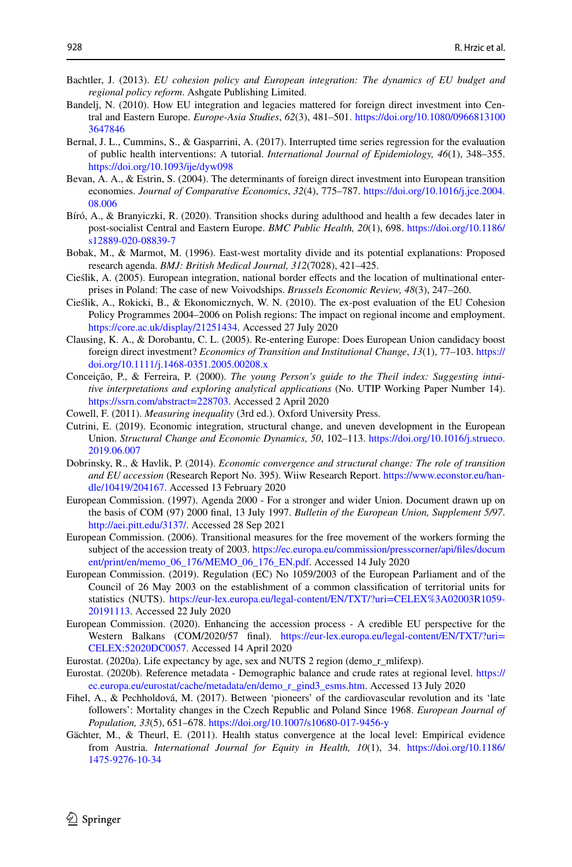- <span id="page-19-3"></span>Bachtler, J. (2013). *EU cohesion policy and European integration: The dynamics of EU budget and regional policy reform*. Ashgate Publishing Limited.
- <span id="page-19-13"></span>Bandelj, N. (2010). How EU integration and legacies mattered for foreign direct investment into Central and Eastern Europe. *Europe-Asia Studies*, *62*(3), 481–501. [https://doi.org/10.1080/0966813100](https://doi.org/10.1080/09668131003647846) [3647846](https://doi.org/10.1080/09668131003647846)
- <span id="page-19-11"></span>Bernal, J. L., Cummins, S., & Gasparrini, A. (2017). Interrupted time series regression for the evaluation of public health interventions: A tutorial. *International Journal of Epidemiology, 46*(1), 348–355. <https://doi.org/10.1093/ije/dyw098>
- <span id="page-19-14"></span>Bevan, A. A., & Estrin, S. (2004). The determinants of foreign direct investment into European transition economies. *Journal of Comparative Economics*, *32*(4), 775–787. [https://doi.org/10.1016/j.jce.2004.](https://doi.org/10.1016/j.jce.2004.08.006) [08.006](https://doi.org/10.1016/j.jce.2004.08.006)
- <span id="page-19-20"></span>Bíró, A., & Branyiczki, R. (2020). Transition shocks during adulthood and health a few decades later in post-socialist Central and Eastern Europe. *BMC Public Health, 20*(1), 698. [https://doi.org/10.1186/](https://doi.org/10.1186/s12889-020-08839-7) [s12889-020-08839-7](https://doi.org/10.1186/s12889-020-08839-7)
- <span id="page-19-0"></span>Bobak, M., & Marmot, M. (1996). East-west mortality divide and its potential explanations: Proposed research agenda. *BMJ: British Medical Journal, 312*(7028), 421–425.
- <span id="page-19-16"></span>Cieślik, A. (2005). European integration, national border efects and the location of multinational enterprises in Poland: The case of new Voivodships. *Brussels Economic Review, 48*(3), 247–260.
- <span id="page-19-17"></span>Cieślik, A., Rokicki, B., & Ekonomicznych, W. N. (2010). The ex-post evaluation of the EU Cohesion Policy Programmes 2004–2006 on Polish regions: The impact on regional income and employment. <https://core.ac.uk/display/21251434>. Accessed 27 July 2020
- <span id="page-19-15"></span>Clausing, K. A., & Dorobantu, C. L. (2005). Re-entering Europe: Does European Union candidacy boost foreign direct investment? *Economics of Transition and Institutional Change*, *13*(1), 77–103. [https://](https://doi.org/10.1111/j.1468-0351.2005.00208.x) [doi.org/10.1111/j.1468-0351.2005.00208.x](https://doi.org/10.1111/j.1468-0351.2005.00208.x)
- <span id="page-19-10"></span>Conceição, P., & Ferreira, P. (2000). *The young Person's guide to the Theil index: Suggesting intuitive interpretations and exploring analytical applications* (No. UTIP Working Paper Number 14). [https://ssrn.com/abstract=228703.](https://ssrn.com/abstract=228703) Accessed 2 April 2020
- <span id="page-19-9"></span>Cowell, F. (2011). *Measuring inequality* (3rd ed.). Oxford University Press.
- <span id="page-19-5"></span>Cutrini, E. (2019). Economic integration, structural change, and uneven development in the European Union. *Structural Change and Economic Dynamics, 50*, 102–113. [https://doi.org/10.1016/j.strueco.](https://doi.org/10.1016/j.strueco.2019.06.007) [2019.06.007](https://doi.org/10.1016/j.strueco.2019.06.007)
- <span id="page-19-4"></span>Dobrinsky, R., & Havlik, P. (2014). *Economic convergence and structural change: The role of transition and EU accession* (Research Report No. 395). Wiiw Research Report. [https://www.econstor.eu/han](https://www.econstor.eu/handle/10419/204167)[dle/10419/204167](https://www.econstor.eu/handle/10419/204167). Accessed 13 February 2020
- <span id="page-19-12"></span>European Commission. (1997). Agenda 2000 - For a stronger and wider Union. Document drawn up on the basis of COM (97) 2000 fnal, 13 July 1997. *Bulletin of the European Union, Supplement 5/97*. <http://aei.pitt.edu/3137/>. Accessed 28 Sep 2021
- <span id="page-19-19"></span>European Commission. (2006). Transitional measures for the free movement of the workers forming the subject of the accession treaty of 2003. https://ec.europa.eu/commission/presscorner/api/files/docum [ent/print/en/memo\\_06\\_176/MEMO\\_06\\_176\\_EN.pdf.](https://ec.europa.eu/commission/presscorner/api/files/document/print/en/memo_06_176/MEMO_06_176_EN.pdf) Accessed 14 July 2020
- <span id="page-19-7"></span>European Commission. (2019). Regulation (EC) No 1059/2003 of the European Parliament and of the Council of 26 May 2003 on the establishment of a common classifcation of territorial units for statistics (NUTS). [https://eur-lex.europa.eu/legal-content/EN/TXT/?uri=CELEX%3A02003R1059-](https://eur-lex.europa.eu/legal-content/EN/TXT/?uri=CELEX%3A02003R1059-20191113) [20191113](https://eur-lex.europa.eu/legal-content/EN/TXT/?uri=CELEX%3A02003R1059-20191113). Accessed 22 July 2020
- <span id="page-19-2"></span>European Commission. (2020). Enhancing the accession process - A credible EU perspective for the Western Balkans (COM/2020/57 fnal). [https://eur-lex.europa.eu/legal-content/EN/TXT/?uri=](https://eur-lex.europa.eu/legal-content/EN/TXT/?uri=CELEX:52020DC0057) [CELEX:52020DC0057](https://eur-lex.europa.eu/legal-content/EN/TXT/?uri=CELEX:52020DC0057). Accessed 14 April 2020
- <span id="page-19-1"></span>Eurostat. (2020a). Life expectancy by age, sex and NUTS 2 region (demo\_r\_mlifexp).
- <span id="page-19-18"></span>Eurostat. (2020b). Reference metadata - Demographic balance and crude rates at regional level. [https://](https://ec.europa.eu/eurostat/cache/metadata/en/demo_r_gind3_esms.htm) [ec.europa.eu/eurostat/cache/metadata/en/demo\\_r\\_gind3\\_esms.htm.](https://ec.europa.eu/eurostat/cache/metadata/en/demo_r_gind3_esms.htm) Accessed 13 July 2020
- <span id="page-19-6"></span>Fihel, A., & Pechholdová, M. (2017). Between 'pioneers' of the cardiovascular revolution and its 'late followers': Mortality changes in the Czech Republic and Poland Since 1968. *European Journal of Population, 33*(5), 651–678. <https://doi.org/10.1007/s10680-017-9456-y>
- <span id="page-19-8"></span>Gächter, M., & Theurl, E. (2011). Health status convergence at the local level: Empirical evidence from Austria. *International Journal for Equity in Health, 10*(1), 34. [https://doi.org/10.1186/](https://doi.org/10.1186/1475-9276-10-34) [1475-9276-10-34](https://doi.org/10.1186/1475-9276-10-34)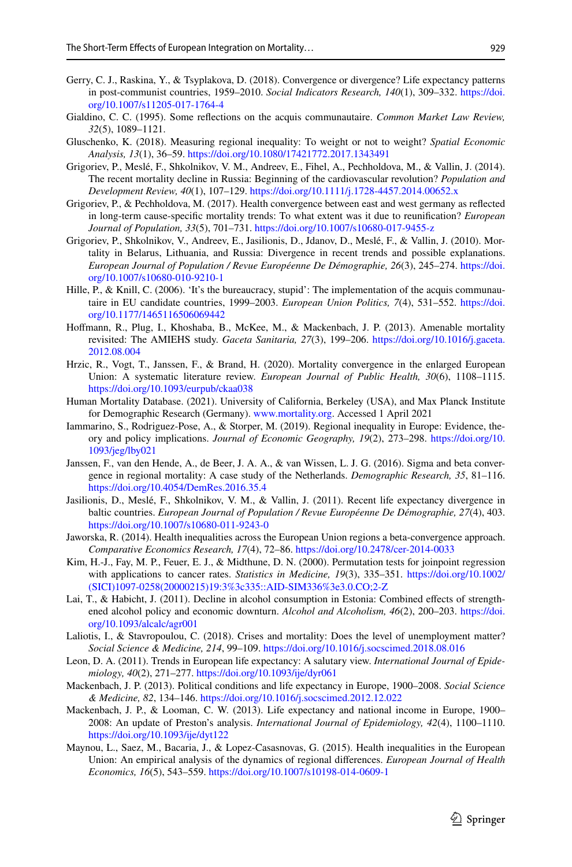- <span id="page-20-11"></span>Gerry, C. J., Raskina, Y., & Tsyplakova, D. (2018). Convergence or divergence? Life expectancy patterns in post-communist countries, 1959–2010. *Social Indicators Research, 140*(1), 309–332. [https://doi.](https://doi.org/10.1007/s11205-017-1764-4) [org/10.1007/s11205-017-1764-4](https://doi.org/10.1007/s11205-017-1764-4)
- <span id="page-20-3"></span>Gialdino, C. C. (1995). Some refections on the acquis communautaire. *Common Market Law Review, 32*(5), 1089–1121.
- <span id="page-20-17"></span>Gluschenko, K. (2018). Measuring regional inequality: To weight or not to weight? *Spatial Economic Analysis, 13*(1), 36–59.<https://doi.org/10.1080/17421772.2017.1343491>
- <span id="page-20-7"></span>Grigoriev, P., Meslé, F., Shkolnikov, V. M., Andreev, E., Fihel, A., Pechholdova, M., & Vallin, J. (2014). The recent mortality decline in Russia: Beginning of the cardiovascular revolution? *Population and Development Review, 40*(1), 107–129.<https://doi.org/10.1111/j.1728-4457.2014.00652.x>
- <span id="page-20-1"></span>Grigoriev, P., & Pechholdova, M. (2017). Health convergence between east and west germany as refected in long-term cause-specifc mortality trends: To what extent was it due to reunifcation? *European Journal of Population, 33*(5), 701–731. <https://doi.org/10.1007/s10680-017-9455-z>
- <span id="page-20-9"></span>Grigoriev, P., Shkolnikov, V., Andreev, E., Jasilionis, D., Jdanov, D., Meslé, F., & Vallin, J. (2010). Mortality in Belarus, Lithuania, and Russia: Divergence in recent trends and possible explanations. *European Journal of Population / Revue Européenne De Démographie, 26*(3), 245–274. [https://doi.](https://doi.org/10.1007/s10680-010-9210-1) [org/10.1007/s10680-010-9210-1](https://doi.org/10.1007/s10680-010-9210-1)
- <span id="page-20-6"></span>Hille, P., & Knill, C. (2006). 'It's the bureaucracy, stupid': The implementation of the acquis communautaire in EU candidate countries, 1999–2003. *European Union Politics, 7*(4), 531–552. [https://doi.](https://doi.org/10.1177/1465116506069442) [org/10.1177/1465116506069442](https://doi.org/10.1177/1465116506069442)
- <span id="page-20-19"></span>Hofmann, R., Plug, I., Khoshaba, B., McKee, M., & Mackenbach, J. P. (2013). Amenable mortality revisited: The AMIEHS study. *Gaceta Sanitaria, 27*(3), 199–206. [https://doi.org/10.1016/j.gaceta.](https://doi.org/10.1016/j.gaceta.2012.08.004) [2012.08.004](https://doi.org/10.1016/j.gaceta.2012.08.004)
- <span id="page-20-16"></span>Hrzic, R., Vogt, T., Janssen, F., & Brand, H. (2020). Mortality convergence in the enlarged European Union: A systematic literature review. *European Journal of Public Health, 30*(6), 1108–1115. <https://doi.org/10.1093/eurpub/ckaa038>
- <span id="page-20-14"></span>Human Mortality Database. (2021). University of California, Berkeley (USA), and Max Planck Institute for Demographic Research (Germany). [www.mortality.org](http://www.mortality.org). Accessed 1 April 2021
- <span id="page-20-4"></span>Iammarino, S., Rodriguez-Pose, A., & Storper, M. (2019). Regional inequality in Europe: Evidence, theory and policy implications. *Journal of Economic Geography, 19*(2), 273–298. [https://doi.org/10.](https://doi.org/10.1093/jeg/lby021) [1093/jeg/lby021](https://doi.org/10.1093/jeg/lby021)
- <span id="page-20-15"></span>Janssen, F., van den Hende, A., de Beer, J. A. A., & van Wissen, L. J. G. (2016). Sigma and beta convergence in regional mortality: A case study of the Netherlands. *Demographic Research, 35*, 81–116. <https://doi.org/10.4054/DemRes.2016.35.4>
- <span id="page-20-8"></span>Jasilionis, D., Meslé, F., Shkolnikov, V. M., & Vallin, J. (2011). Recent life expectancy divergence in baltic countries. *European Journal of Population / Revue Européenne De Démographie, 27*(4), 403. <https://doi.org/10.1007/s10680-011-9243-0>
- <span id="page-20-12"></span>Jaworska, R. (2014). Health inequalities across the European Union regions a beta-convergence approach. *Comparative Economics Research, 17*(4), 72–86.<https://doi.org/10.2478/cer-2014-0033>
- <span id="page-20-18"></span>Kim, H.-J., Fay, M. P., Feuer, E. J., & Midthune, D. N. (2000). Permutation tests for joinpoint regression with applications to cancer rates. *Statistics in Medicine, 19*(3), 335–351. [https://doi.org/10.1002/](https://doi.org/10.1002/(SICI)1097-0258(20000215)19:3%3c335::AID-SIM336%3e3.0.CO;2-Z) [\(SICI\)1097-0258\(20000215\)19:3%3c335::AID-SIM336%3e3.0.CO;2-Z](https://doi.org/10.1002/(SICI)1097-0258(20000215)19:3%3c335::AID-SIM336%3e3.0.CO;2-Z)
- <span id="page-20-10"></span>Lai, T., & Habicht, J. (2011). Decline in alcohol consumption in Estonia: Combined efects of strengthened alcohol policy and economic downturn. *Alcohol and Alcoholism, 46*(2), 200–203. [https://doi.](https://doi.org/10.1093/alcalc/agr001) [org/10.1093/alcalc/agr001](https://doi.org/10.1093/alcalc/agr001)
- <span id="page-20-20"></span>Laliotis, I., & Stavropoulou, C. (2018). Crises and mortality: Does the level of unemployment matter? *Social Science & Medicine, 214*, 99–109.<https://doi.org/10.1016/j.socscimed.2018.08.016>
- <span id="page-20-0"></span>Leon, D. A. (2011). Trends in European life expectancy: A salutary view. *International Journal of Epidemiology, 40*(2), 271–277.<https://doi.org/10.1093/ije/dyr061>
- <span id="page-20-5"></span>Mackenbach, J. P. (2013). Political conditions and life expectancy in Europe, 1900–2008. *Social Science & Medicine, 82*, 134–146.<https://doi.org/10.1016/j.socscimed.2012.12.022>
- <span id="page-20-2"></span>Mackenbach, J. P., & Looman, C. W. (2013). Life expectancy and national income in Europe, 1900– 2008: An update of Preston's analysis. *International Journal of Epidemiology, 42*(4), 1100–1110. <https://doi.org/10.1093/ije/dyt122>
- <span id="page-20-13"></span>Maynou, L., Saez, M., Bacaria, J., & Lopez-Casasnovas, G. (2015). Health inequalities in the European Union: An empirical analysis of the dynamics of regional diferences. *European Journal of Health Economics, 16*(5), 543–559.<https://doi.org/10.1007/s10198-014-0609-1>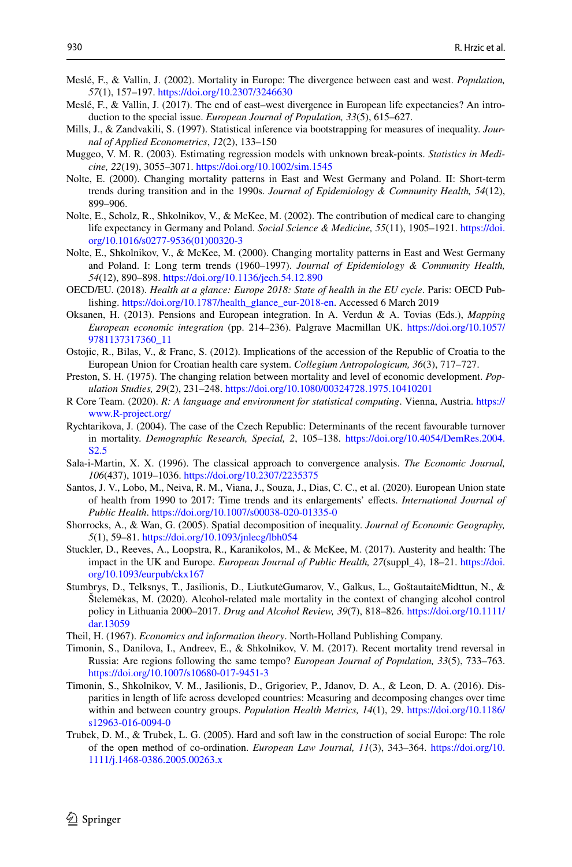- <span id="page-21-0"></span>Meslé, F., & Vallin, J. (2002). Mortality in Europe: The divergence between east and west. *Population, 57*(1), 157–197.<https://doi.org/10.2307/3246630>
- <span id="page-21-1"></span>Meslé, F., & Vallin, J. (2017). The end of east–west divergence in European life expectancies? An introduction to the special issue. *European Journal of Population, 33*(5), 615–627.
- <span id="page-21-16"></span>Mills, J., & Zandvakili, S. (1997). Statistical inference via bootstrapping for measures of inequality. *Journal of Applied Econometrics*, *12*(2), 133–150
- <span id="page-21-18"></span>Muggeo, V. M. R. (2003). Estimating regression models with unknown break-points. *Statistics in Medicine, 22*(19), 3055–3071. <https://doi.org/10.1002/sim.1545>
- <span id="page-21-6"></span>Nolte, E. (2000). Changing mortality patterns in East and West Germany and Poland. II: Short-term trends during transition and in the 1990s. *Journal of Epidemiology & Community Health, 54*(12), 899–906.
- <span id="page-21-8"></span>Nolte, E., Scholz, R., Shkolnikov, V., & McKee, M. (2002). The contribution of medical care to changing life expectancy in Germany and Poland. *Social Science & Medicine, 55*(11), 1905–1921. [https://doi.](https://doi.org/10.1016/s0277-9536(01)00320-3) [org/10.1016/s0277-9536\(01\)00320-3](https://doi.org/10.1016/s0277-9536(01)00320-3)
- <span id="page-21-7"></span>Nolte, E., Shkolnikov, V., & McKee, M. (2000). Changing mortality patterns in East and West Germany and Poland. I: Long term trends (1960–1997). *Journal of Epidemiology & Community Health, 54*(12), 890–898.<https://doi.org/10.1136/jech.54.12.890>
- <span id="page-21-21"></span>OECD/EU. (2018). *Health at a glance: Europe 2018: State of health in the EU cycle*. Paris: OECD Publishing. [https://doi.org/10.1787/health\\_glance\\_eur-2018-en.](https://doi.org/10.1787/health_glance_eur-2018-en) Accessed 6 March 2019
- <span id="page-21-20"></span>Oksanen, H. (2013). Pensions and European integration. In A. Verdun & A. Tovias (Eds.), *Mapping European economic integration* (pp. 214–236). Palgrave Macmillan UK. [https://doi.org/10.1057/](https://doi.org/10.1057/9781137317360_11) [9781137317360\\_11](https://doi.org/10.1057/9781137317360_11)
- <span id="page-21-4"></span>Ostojic, R., Bilas, V., & Franc, S. (2012). Implications of the accession of the Republic of Croatia to the European Union for Croatian health care system. *Collegium Antropologicum, 36*(3), 717–727.
- <span id="page-21-2"></span>Preston, S. H. (1975). The changing relation between mortality and level of economic development. *Population Studies, 29*(2), 231–248.<https://doi.org/10.1080/00324728.1975.10410201>
- <span id="page-21-19"></span>R Core Team. (2020). *R: A language and environment for statistical computing*. Vienna, Austria. [https://](https://www.R-project.org/) [www.R-project.org/](https://www.R-project.org/)
- <span id="page-21-9"></span>Rychtarikova, J. (2004). The case of the Czech Republic: Determinants of the recent favourable turnover in mortality. *Demographic Research, Special, 2*, 105–138. [https://doi.org/10.4054/DemRes.2004.](https://doi.org/10.4054/DemRes.2004.S2.5) [S2.5](https://doi.org/10.4054/DemRes.2004.S2.5)
- <span id="page-21-13"></span>Sala-i-Martin, X. X. (1996). The classical approach to convergence analysis. *The Economic Journal, 106*(437), 1019–1036.<https://doi.org/10.2307/2235375>
- <span id="page-21-5"></span>Santos, J. V., Lobo, M., Neiva, R. M., Viana, J., Souza, J., Dias, C. C., et al. (2020). European Union state of health from 1990 to 2017: Time trends and its enlargements' efects. *International Journal of Public Health*. <https://doi.org/10.1007/s00038-020-01335-0>
- <span id="page-21-17"></span>Shorrocks, A., & Wan, G. (2005). Spatial decomposition of inequality. *Journal of Economic Geography, 5*(1), 59–81.<https://doi.org/10.1093/jnlecg/lbh054>
- <span id="page-21-12"></span>Stuckler, D., Reeves, A., Loopstra, R., Karanikolos, M., & McKee, M. (2017). Austerity and health: The impact in the UK and Europe. *European Journal of Public Health, 27*(suppl\_4), 18–21. [https://doi.](https://doi.org/10.1093/eurpub/ckx167) [org/10.1093/eurpub/ckx167](https://doi.org/10.1093/eurpub/ckx167)
- <span id="page-21-10"></span>Stumbrys, D., Telksnys, T., Jasilionis, D., LiutkutėGumarov, V., Galkus, L., GoštautaitėMidttun, N., & Štelemėkas, M. (2020). Alcohol-related male mortality in the context of changing alcohol control policy in Lithuania 2000–2017. *Drug and Alcohol Review, 39*(7), 818–826. [https://doi.org/10.1111/](https://doi.org/10.1111/dar.13059) [dar.13059](https://doi.org/10.1111/dar.13059)
- <span id="page-21-15"></span>Theil, H. (1967). *Economics and information theory*. North-Holland Publishing Company.
- <span id="page-21-14"></span>Timonin, S., Danilova, I., Andreev, E., & Shkolnikov, V. M. (2017). Recent mortality trend reversal in Russia: Are regions following the same tempo? *European Journal of Population, 33*(5), 733–763. <https://doi.org/10.1007/s10680-017-9451-3>
- <span id="page-21-11"></span>Timonin, S., Shkolnikov, V. M., Jasilionis, D., Grigoriev, P., Jdanov, D. A., & Leon, D. A. (2016). Disparities in length of life across developed countries: Measuring and decomposing changes over time within and between country groups. *Population Health Metrics, 14*(1), 29. [https://doi.org/10.1186/](https://doi.org/10.1186/s12963-016-0094-0) [s12963-016-0094-0](https://doi.org/10.1186/s12963-016-0094-0)
- <span id="page-21-3"></span>Trubek, D. M., & Trubek, L. G. (2005). Hard and soft law in the construction of social Europe: The role of the open method of co-ordination. *European Law Journal, 11*(3), 343–364. [https://doi.org/10.](https://doi.org/10.1111/j.1468-0386.2005.00263.x) [1111/j.1468-0386.2005.00263.x](https://doi.org/10.1111/j.1468-0386.2005.00263.x)